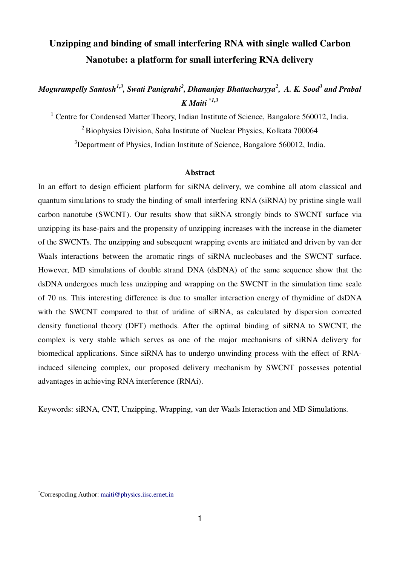# **Unzipping and binding of small interfering RNA with single walled Carbon Nanotube: a platform for small interfering RNA delivery**

## *Mogurampelly Santosh1,3, Swati Panigrahi<sup>2</sup> , Dhananjay Bhattacharyya<sup>2</sup> , A. K. Sood<sup>3</sup> and Prabal K Maiti \*1,3*

<sup>1</sup> Centre for Condensed Matter Theory, Indian Institute of Science, Bangalore 560012, India. <sup>2</sup> Biophysics Division, Saha Institute of Nuclear Physics, Kolkata 700064 <sup>3</sup>Department of Physics, Indian Institute of Science, Bangalore 560012, India.

## **Abstract**

In an effort to design efficient platform for siRNA delivery, we combine all atom classical and quantum simulations to study the binding of small interfering RNA (siRNA) by pristine single wall carbon nanotube (SWCNT). Our results show that siRNA strongly binds to SWCNT surface via unzipping its base-pairs and the propensity of unzipping increases with the increase in the diameter of the SWCNTs. The unzipping and subsequent wrapping events are initiated and driven by van der Waals interactions between the aromatic rings of siRNA nucleobases and the SWCNT surface. However, MD simulations of double strand DNA (dsDNA) of the same sequence show that the dsDNA undergoes much less unzipping and wrapping on the SWCNT in the simulation time scale of 70 ns. This interesting difference is due to smaller interaction energy of thymidine of dsDNA with the SWCNT compared to that of uridine of siRNA, as calculated by dispersion corrected density functional theory (DFT) methods. After the optimal binding of siRNA to SWCNT, the complex is very stable which serves as one of the major mechanisms of siRNA delivery for biomedical applications. Since siRNA has to undergo unwinding process with the effect of RNAinduced silencing complex, our proposed delivery mechanism by SWCNT possesses potential advantages in achieving RNA interference (RNAi).

Keywords: siRNA, CNT, Unzipping, Wrapping, van der Waals Interaction and MD Simulations.

<u>.</u>

<sup>\*</sup>Correspoding Author: [maiti@physics.iisc.ernet.in](mailto:maiti@physics.iisc.ernet.in)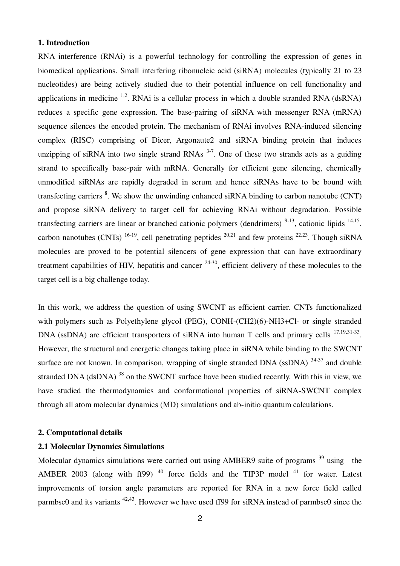## **1. Introduction**

RNA interference (RNAi) is a powerful technology for controlling the expression of genes in biomedical applications. Small interfering ribonucleic acid (siRNA) molecules (typically 21 to 23 nucleotides) are being actively studied due to their potential influence on cell functionality and applications in medicine  $^{1,2}$ . RNAi is a cellular process in which a double stranded RNA (dsRNA) reduces a specific gene expression. The base-pairing of siRNA with messenger RNA (mRNA) sequence silences the encoded protein. The mechanism of RNAi involves RNA-induced silencing complex (RISC) comprising of Dicer, Argonaute2 and siRNA binding protein that induces unzipping of siRNA into two single strand RNAs  $3-7$ . One of these two strands acts as a guiding strand to specifically base-pair with mRNA. Generally for efficient gene silencing, chemically unmodified siRNAs are rapidly degraded in serum and hence siRNAs have to be bound with transfecting carriers  $\delta$ . We show the unwinding enhanced siRNA binding to carbon nanotube (CNT) and propose siRNA delivery to target cell for achieving RNAi without degradation. Possible transfecting carriers are linear or branched cationic polymers (dendrimers)  $9-13$ , cationic lipids  $14,15$ , carbon nanotubes (CNTs)  $^{16-19}$ , cell penetrating peptides  $^{20,21}$  and few proteins  $^{22,23}$ . Though siRNA molecules are proved to be potential silencers of gene expression that can have extraordinary treatment capabilities of HIV, hepatitis and cancer  $24-30$ , efficient delivery of these molecules to the target cell is a big challenge today.

In this work, we address the question of using SWCNT as efficient carrier. CNTs functionalized with polymers such as Polyethylene glycol (PEG), CONH-(CH2)(6)-NH3+Cl- or single stranded DNA (ssDNA) are efficient transporters of siRNA into human T cells and primary cells  $^{17,19,31-33}$ . However, the structural and energetic changes taking place in siRNA while binding to the SWCNT surface are not known. In comparison, wrapping of single stranded DNA ( $\text{ssDNA}$ )<sup>34-37</sup> and double stranded DNA (dsDNA)<sup>38</sup> on the SWCNT surface have been studied recently. With this in view, we have studied the thermodynamics and conformational properties of siRNA-SWCNT complex through all atom molecular dynamics (MD) simulations and ab-initio quantum calculations.

## **2. Computational details**

## **2.1 Molecular Dynamics Simulations**

Molecular dynamics simulations were carried out using AMBER9 suite of programs <sup>39</sup> using the AMBER 2003 (along with ff99)  $40$  force fields and the TIP3P model  $41$  for water. Latest improvements of torsion angle parameters are reported for RNA in a new force field called parmbsc0 and its variants <sup>42,43</sup>. However we have used ff99 for siRNA instead of parmbsc0 since the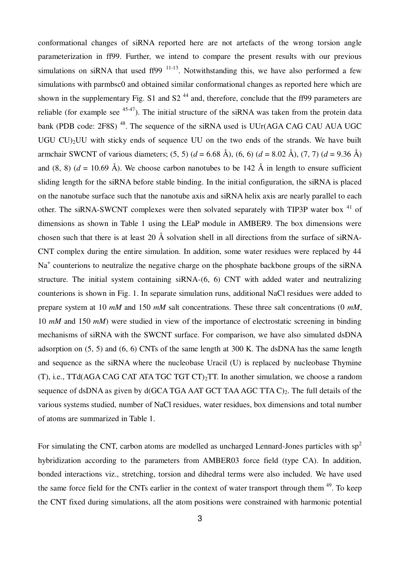conformational changes of siRNA reported here are not artefacts of the wrong torsion angle parameterization in ff99. Further, we intend to compare the present results with our previous simulations on siRNA that used ff99  $11-13$ . Notwithstanding this, we have also performed a few simulations with parmbsc0 and obtained similar conformational changes as reported here which are shown in the supplementary Fig. S1 and S2<sup> $44$ </sup> and, therefore, conclude that the ff99 parameters are reliable (for example see  $45-47$ ). The initial structure of the siRNA was taken from the protein data bank (PDB code: 2F8S)<sup>48</sup>. The sequence of the siRNA used is  $UUr(AGA CAG CAU AUA UGC)$ UGU  $CU$ <sub>2</sub>UU with sticky ends of sequence UU on the two ends of the strands. We have built armchair SWCNT of various diameters;  $(5, 5)$   $(d = 6.68 \text{ Å})$ ,  $(6, 6)$   $(d = 8.02 \text{ Å})$ ,  $(7, 7)$   $(d = 9.36 \text{ Å})$ and (8, 8) ( $d = 10.69$  Å). We choose carbon nanotubes to be 142 Å in length to ensure sufficient sliding length for the siRNA before stable binding. In the initial configuration, the siRNA is placed on the nanotube surface such that the nanotube axis and siRNA helix axis are nearly parallel to each other. The siRNA-SWCNT complexes were then solvated separately with TIP3P water box  $41$  of dimensions as shown in Table 1 using the LEaP module in AMBER9. The box dimensions were chosen such that there is at least 20 Å solvation shell in all directions from the surface of siRNA-CNT complex during the entire simulation. In addition, some water residues were replaced by 44 Na<sup>+</sup> counterions to neutralize the negative charge on the phosphate backbone groups of the siRNA structure. The initial system containing siRNA-(6, 6) CNT with added water and neutralizing counterions is shown in Fig. 1. In separate simulation runs, additional NaCl residues were added to prepare system at 10 *mM* and 150 *mM* salt concentrations. These three salt concentrations (0 *mM*, 10 *mM* and 150 *mM*) were studied in view of the importance of electrostatic screening in binding mechanisms of siRNA with the SWCNT surface. For comparison, we have also simulated dsDNA adsorption on (5, 5) and (6, 6) CNTs of the same length at 300 K. The dsDNA has the same length and sequence as the siRNA where the nucleobase Uracil (U) is replaced by nucleobase Thymine (T), i.e., TTd(AGA CAG CAT ATA TGC TGT CT)2TT. In another simulation, we choose a random sequence of dsDNA as given by  $d(GCA TGA AAT GCT TAA AGC TTA C)$ . The full details of the various systems studied, number of NaCl residues, water residues, box dimensions and total number of atoms are summarized in Table 1.

For simulating the CNT, carbon atoms are modelled as uncharged Lennard-Jones particles with  $sp<sup>2</sup>$ hybridization according to the parameters from AMBER03 force field (type CA). In addition, bonded interactions viz., stretching, torsion and dihedral terms were also included. We have used the same force field for the CNTs earlier in the context of water transport through them  $49$ . To keep the CNT fixed during simulations, all the atom positions were constrained with harmonic potential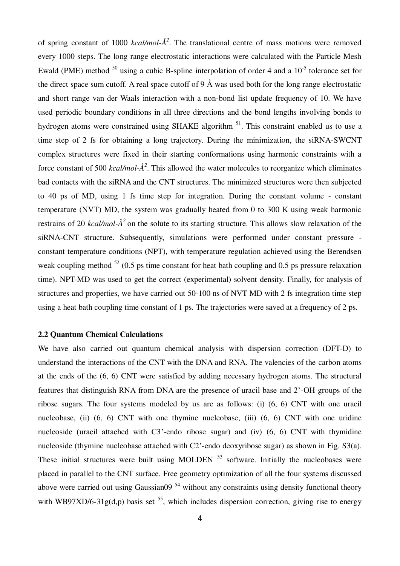of spring constant of 1000 *kcal/mol-Å<sup>2</sup>* . The translational centre of mass motions were removed every 1000 steps. The long range electrostatic interactions were calculated with the Particle Mesh Ewald (PME) method  $^{50}$  using a cubic B-spline interpolation of order 4 and a 10<sup>-5</sup> tolerance set for the direct space sum cutoff. A real space cutoff of 9  $\AA$  was used both for the long range electrostatic and short range van der Waals interaction with a non-bond list update frequency of 10. We have used periodic boundary conditions in all three directions and the bond lengths involving bonds to hydrogen atoms were constrained using SHAKE algorithm <sup>51</sup>. This constraint enabled us to use a time step of 2 fs for obtaining a long trajectory. During the minimization, the siRNA-SWCNT complex structures were fixed in their starting conformations using harmonic constraints with a force constant of 500 *kcal/mol-Å<sup>2</sup>* . This allowed the water molecules to reorganize which eliminates bad contacts with the siRNA and the CNT structures. The minimized structures were then subjected to 40 ps of MD, using 1 fs time step for integration. During the constant volume - constant temperature (NVT) MD, the system was gradually heated from 0 to 300 K using weak harmonic restrains of 20 *kcal/mol-Å<sup>2</sup>* on the solute to its starting structure. This allows slow relaxation of the siRNA-CNT structure. Subsequently, simulations were performed under constant pressure constant temperature conditions (NPT), with temperature regulation achieved using the Berendsen weak coupling method  $52$  (0.5 ps time constant for heat bath coupling and 0.5 ps pressure relaxation time). NPT-MD was used to get the correct (experimental) solvent density. Finally, for analysis of structures and properties, we have carried out 50-100 ns of NVT MD with 2 fs integration time step using a heat bath coupling time constant of 1 ps. The trajectories were saved at a frequency of 2 ps.

## **2.2 Quantum Chemical Calculations**

We have also carried out quantum chemical analysis with dispersion correction (DFT-D) to understand the interactions of the CNT with the DNA and RNA. The valencies of the carbon atoms at the ends of the (6, 6) CNT were satisfied by adding necessary hydrogen atoms. The structural features that distinguish RNA from DNA are the presence of uracil base and 2'-OH groups of the ribose sugars. The four systems modeled by us are as follows: (i) (6, 6) CNT with one uracil nucleobase, (ii) (6, 6) CNT with one thymine nucleobase, (iii) (6, 6) CNT with one uridine nucleoside (uracil attached with C3'-endo ribose sugar) and (iv) (6, 6) CNT with thymidine nucleoside (thymine nucleobase attached with C2<sup>2</sup>-endo deoxyribose sugar) as shown in Fig. S3(a). These initial structures were built using MOLDEN  $53$  software. Initially the nucleobases were placed in parallel to the CNT surface. Free geometry optimization of all the four systems discussed above were carried out using Gaussian09<sup>54</sup> without any constraints using density functional theory with WB97XD/6-31g(d,p) basis set <sup>55</sup>, which includes dispersion correction, giving rise to energy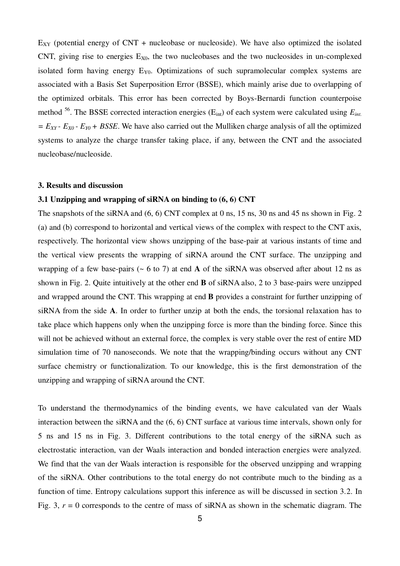$E_{XY}$  (potential energy of CNT + nucleobase or nucleoside). We have also optimized the isolated CNT, giving rise to energies  $E_{X0}$ , the two nucleobases and the two nucleosides in un-complexed isolated form having energy  $E_{Y0}$ . Optimizations of such supramolecular complex systems are associated with a Basis Set Superposition Error (BSSE), which mainly arise due to overlapping of the optimized orbitals. This error has been corrected by Boys-Bernardi function counterpoise method <sup>56</sup>. The BSSE corrected interaction energies (E<sub>int</sub>) of each system were calculated using  $E_{int.}$  $E_{XY}$  *- E<sub>X0</sub> - E<sub>Y0</sub> + BSSE*. We have also carried out the Mulliken charge analysis of all the optimized systems to analyze the charge transfer taking place, if any, between the CNT and the associated nucleobase/nucleoside.

#### **3. Results and discussion**

### **3.1 Unzipping and wrapping of siRNA on binding to (6, 6) CNT**

The snapshots of the siRNA and (6, 6) CNT complex at 0 ns, 15 ns, 30 ns and 45 ns shown in Fig. 2 (a) and (b) correspond to horizontal and vertical views of the complex with respect to the CNT axis, respectively. The horizontal view shows unzipping of the base-pair at various instants of time and the vertical view presents the wrapping of siRNA around the CNT surface. The unzipping and wrapping of a few base-pairs (~ 6 to 7) at end **A** of the siRNA was observed after about 12 ns as shown in Fig. 2. Quite intuitively at the other end **B** of siRNA also, 2 to 3 base-pairs were unzipped and wrapped around the CNT. This wrapping at end **B** provides a constraint for further unzipping of siRNA from the side **A**. In order to further unzip at both the ends, the torsional relaxation has to take place which happens only when the unzipping force is more than the binding force. Since this will not be achieved without an external force, the complex is very stable over the rest of entire MD simulation time of 70 nanoseconds. We note that the wrapping/binding occurs without any CNT surface chemistry or functionalization. To our knowledge, this is the first demonstration of the unzipping and wrapping of siRNA around the CNT.

To understand the thermodynamics of the binding events, we have calculated van der Waals interaction between the siRNA and the (6, 6) CNT surface at various time intervals, shown only for 5 ns and 15 ns in Fig. 3. Different contributions to the total energy of the siRNA such as electrostatic interaction, van der Waals interaction and bonded interaction energies were analyzed. We find that the van der Waals interaction is responsible for the observed unzipping and wrapping of the siRNA. Other contributions to the total energy do not contribute much to the binding as a function of time. Entropy calculations support this inference as will be discussed in section 3.2. In Fig. 3,  $r = 0$  corresponds to the centre of mass of siRNA as shown in the schematic diagram. The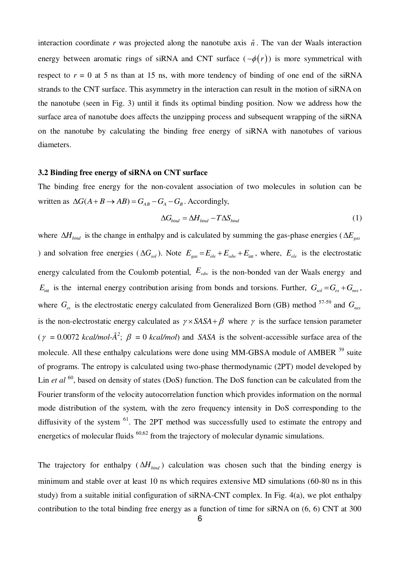interaction coordinate *r* was projected along the nanotube axis  $\hat{n}$ . The van der Waals interaction energy between aromatic rings of siRNA and CNT surface  $(-\phi(r))$  is more symmetrical with respect to  $r = 0$  at 5 ns than at 15 ns, with more tendency of binding of one end of the siRNA strands to the CNT surface. This asymmetry in the interaction can result in the motion of siRNA on the nanotube (seen in Fig. 3) until it finds its optimal binding position. Now we address how the surface area of nanotube does affects the unzipping process and subsequent wrapping of the siRNA on the nanotube by calculating the binding free energy of siRNA with nanotubes of various diameters.

#### **3.2 Binding free energy of siRNA on CNT surface**

The binding free energy for the non-covalent association of two molecules in solution can be written as  $\Delta G(A + B \rightarrow AB) = G_{AB} - G_A - G_B$ . Accordingly,

$$
\Delta G_{bind} = \Delta H_{bind} - T\Delta S_{bind} \tag{1}
$$

where  $\Delta H_{bind}$  is the change in enthalpy and is calculated by summing the gas-phase energies ( $\Delta E_{gas}$ ) ) and solvation free energies ( $\Delta G_{sol}$ ). Note  $E_{gas} = E_{ele} + E_{vdw} + E_{int}$ , where,  $E_{ele}$  is the electrostatic energy calculated from the Coulomb potential,  $E_{vdw}$  is the non-bonded van der Waals energy and  $E_{\text{int}}$  is the internal energy contribution arising from bonds and torsions. Further,  $G_{sol} = G_{es} + G_{nes}$ , where  $G_{es}$  is the electrostatic energy calculated from Generalized Born (GB) method <sup>57-59</sup> and  $G_{nse}$ is the non-electrostatic energy calculated as  $\gamma \times SASA + \beta$  where  $\gamma$  is the surface tension parameter  $(\gamma = 0.0072 \text{ kcal/mol-A}^2$ ;  $\beta = 0 \text{ kcal/mol}$  and *SASA* is the solvent-accessible surface area of the molecule. All these enthalpy calculations were done using MM-GBSA module of AMBER <sup>39</sup> suite of programs. The entropy is calculated using two-phase thermodynamic (2PT) model developed by Lin *et al* <sup>60</sup>, based on density of states (DoS) function. The DoS function can be calculated from the Fourier transform of the velocity autocorrelation function which provides information on the normal mode distribution of the system, with the zero frequency intensity in DoS corresponding to the diffusivity of the system  $^{61}$ . The 2PT method was successfully used to estimate the entropy and energetics of molecular fluids <sup>60,62</sup> from the trajectory of molecular dynamic simulations.

The trajectory for enthalpy  $(\Delta H_{bind})$  calculation was chosen such that the binding energy is minimum and stable over at least 10 ns which requires extensive MD simulations (60-80 ns in this study) from a suitable initial configuration of siRNA-CNT complex. In Fig. 4(a), we plot enthalpy contribution to the total binding free energy as a function of time for siRNA on (6, 6) CNT at 300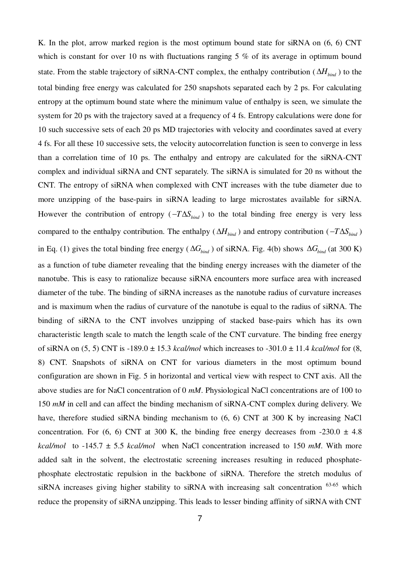K. In the plot, arrow marked region is the most optimum bound state for siRNA on  $(6, 6)$  CNT which is constant for over 10 ns with fluctuations ranging 5 % of its average in optimum bound state. From the stable trajectory of siRNA-CNT complex, the enthalpy contribution ( $\Delta H_{bind}$ ) to the total binding free energy was calculated for 250 snapshots separated each by 2 ps. For calculating entropy at the optimum bound state where the minimum value of enthalpy is seen, we simulate the system for 20 ps with the trajectory saved at a frequency of 4 fs. Entropy calculations were done for 10 such successive sets of each 20 ps MD trajectories with velocity and coordinates saved at every 4 fs. For all these 10 successive sets, the velocity autocorrelation function is seen to converge in less than a correlation time of 10 ps. The enthalpy and entropy are calculated for the siRNA-CNT complex and individual siRNA and CNT separately. The siRNA is simulated for 20 ns without the CNT. The entropy of siRNA when complexed with CNT increases with the tube diameter due to more unzipping of the base-pairs in siRNA leading to large microstates available for siRNA. However the contribution of entropy  $(-T\Delta S_{bind})$  to the total binding free energy is very less compared to the enthalpy contribution. The enthalpy ( $\Delta H_{bind}$ ) and entropy contribution ( $-T\Delta S_{bind}$ ) in Eq. (1) gives the total binding free energy ( $\Delta G_{bind}$ ) of siRNA. Fig. 4(b) shows  $\Delta G_{bind}$  (at 300 K) as a function of tube diameter revealing that the binding energy increases with the diameter of the nanotube. This is easy to rationalize because siRNA encounters more surface area with increased diameter of the tube. The binding of siRNA increases as the nanotube radius of curvature increases and is maximum when the radius of curvature of the nanotube is equal to the radius of siRNA. The binding of siRNA to the CNT involves unzipping of stacked base-pairs which has its own characteristic length scale to match the length scale of the CNT curvature. The binding free energy of siRNA on (5, 5) CNT is -189.0 ± 15.3 *kcal/mol* which increases to -301.0 ± 11.4 *kcal/mol* for (8, 8) CNT. Snapshots of siRNA on CNT for various diameters in the most optimum bound configuration are shown in Fig. 5 in horizontal and vertical view with respect to CNT axis. All the above studies are for NaCl concentration of 0 *mM*. Physiological NaCl concentrations are of 100 to 150 *mM* in cell and can affect the binding mechanism of siRNA-CNT complex during delivery. We have, therefore studied siRNA binding mechanism to  $(6, 6)$  CNT at 300 K by increasing NaCl concentration. For (6, 6) CNT at 300 K, the binding free energy decreases from -230.0  $\pm$  4.8 *kcal/mol* to -145.7 ± 5.5 *kcal/mol* when NaCl concentration increased to 150 *mM*. With more added salt in the solvent, the electrostatic screening increases resulting in reduced phosphatephosphate electrostatic repulsion in the backbone of siRNA. Therefore the stretch modulus of siRNA increases giving higher stability to siRNA with increasing salt concentration <sup>63-65</sup> which reduce the propensity of siRNA unzipping. This leads to lesser binding affinity of siRNA with CNT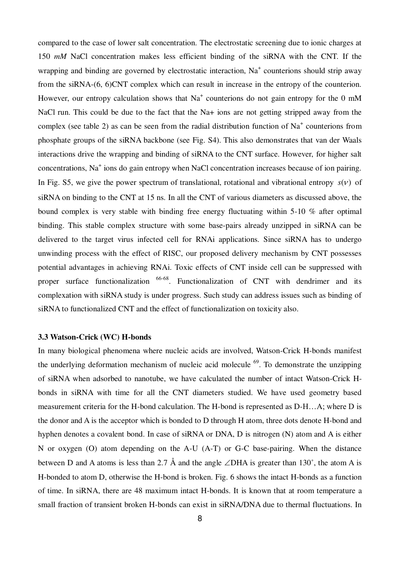compared to the case of lower salt concentration. The electrostatic screening due to ionic charges at 150 *mM* NaCl concentration makes less efficient binding of the siRNA with the CNT. If the wrapping and binding are governed by electrostatic interaction, Na<sup>+</sup> counterions should strip away from the siRNA-(6, 6)CNT complex which can result in increase in the entropy of the counterion. However, our entropy calculation shows that  $Na<sup>+</sup>$  counterions do not gain entropy for the 0 mM NaCl run. This could be due to the fact that the Na+ ions are not getting stripped away from the complex (see table 2) as can be seen from the radial distribution function of  $Na<sup>+</sup>$  counterions from phosphate groups of the siRNA backbone (see Fig. S4). This also demonstrates that van der Waals interactions drive the wrapping and binding of siRNA to the CNT surface. However, for higher salt concentrations, Na<sup>+</sup> ions do gain entropy when NaCl concentration increases because of ion pairing. In Fig. S5, we give the power spectrum of translational, rotational and vibrational entropy  $s(v)$  of siRNA on binding to the CNT at 15 ns. In all the CNT of various diameters as discussed above, the bound complex is very stable with binding free energy fluctuating within 5-10 % after optimal binding. This stable complex structure with some base-pairs already unzipped in siRNA can be delivered to the target virus infected cell for RNAi applications. Since siRNA has to undergo unwinding process with the effect of RISC, our proposed delivery mechanism by CNT possesses potential advantages in achieving RNAi. Toxic effects of CNT inside cell can be suppressed with proper surface functionalization <sup>66-68</sup>. Functionalization of CNT with dendrimer and its complexation with siRNA study is under progress. Such study can address issues such as binding of siRNA to functionalized CNT and the effect of functionalization on toxicity also.

### **3.3 Watson-Crick (WC) H-bonds**

In many biological phenomena where nucleic acids are involved, Watson-Crick H-bonds manifest the underlying deformation mechanism of nucleic acid molecule  $^{69}$ . To demonstrate the unzipping of siRNA when adsorbed to nanotube, we have calculated the number of intact Watson-Crick Hbonds in siRNA with time for all the CNT diameters studied. We have used geometry based measurement criteria for the H-bond calculation. The H-bond is represented as D-H…A; where D is the donor and A is the acceptor which is bonded to D through H atom, three dots denote H-bond and hyphen denotes a covalent bond. In case of siRNA or DNA, D is nitrogen (N) atom and A is either N or oxygen (O) atom depending on the A-U (A-T) or G-C base-pairing. When the distance between D and A atoms is less than 2.7 Å and the angle  $\angle$ DHA is greater than 130°, the atom A is H-bonded to atom D, otherwise the H-bond is broken. Fig. 6 shows the intact H-bonds as a function of time. In siRNA, there are 48 maximum intact H-bonds. It is known that at room temperature a small fraction of transient broken H-bonds can exist in siRNA/DNA due to thermal fluctuations. In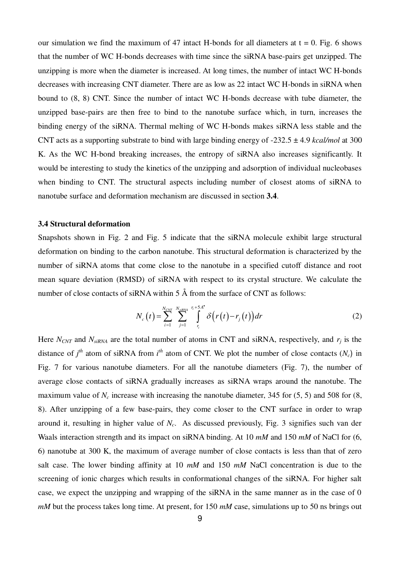our simulation we find the maximum of 47 intact H-bonds for all diameters at  $t = 0$ . Fig. 6 shows that the number of WC H-bonds decreases with time since the siRNA base-pairs get unzipped. The unzipping is more when the diameter is increased. At long times, the number of intact WC H-bonds decreases with increasing CNT diameter. There are as low as 22 intact WC H-bonds in siRNA when bound to (8, 8) CNT. Since the number of intact WC H-bonds decrease with tube diameter, the unzipped base-pairs are then free to bind to the nanotube surface which, in turn, increases the binding energy of the siRNA. Thermal melting of WC H-bonds makes siRNA less stable and the CNT acts as a supporting substrate to bind with large binding energy of -232.5 ± 4.9 *kcal/mol* at 300 K. As the WC H-bond breaking increases, the entropy of siRNA also increases significantly. It would be interesting to study the kinetics of the unzipping and adsorption of individual nucleobases when binding to CNT. The structural aspects including number of closest atoms of siRNA to nanotube surface and deformation mechanism are discussed in section **3.4**.

#### **3.4 Structural deformation**

Snapshots shown in Fig. 2 and Fig. 5 indicate that the siRNA molecule exhibit large structural deformation on binding to the carbon nanotube. This structural deformation is characterized by the number of siRNA atoms that come close to the nanotube in a specified cutoff distance and root mean square deviation (RMSD) of siRNA with respect to its crystal structure. We calculate the number of close contacts of siRNA within  $5 \text{ Å}$  from the surface of CNT as follows:

$$
N_c(t) = \sum_{i=1}^{N_{CNT}} \sum_{j=1}^{N_{s,ENA}} \int_{r_i}^{r_i+5A^*} \delta(r(t)-r_j(t)) dr \qquad (2)
$$

Here  $N_{CNT}$  and  $N_{siRNA}$  are the total number of atoms in CNT and siRNA, respectively, and  $r_i$  is the distance of  $j<sup>th</sup>$  atom of siRNA from  $i<sup>th</sup>$  atom of CNT. We plot the number of close contacts  $(N<sub>c</sub>)$  in Fig. 7 for various nanotube diameters. For all the nanotube diameters (Fig. 7), the number of average close contacts of siRNA gradually increases as siRNA wraps around the nanotube. The maximum value of  $N_c$  increase with increasing the nanotube diameter, 345 for (5, 5) and 508 for (8, 8). After unzipping of a few base-pairs, they come closer to the CNT surface in order to wrap around it, resulting in higher value of *Nc*. As discussed previously, Fig. 3 signifies such van der Waals interaction strength and its impact on siRNA binding. At 10 *mM* and 150 *mM* of NaCl for (6, 6) nanotube at 300 K, the maximum of average number of close contacts is less than that of zero salt case. The lower binding affinity at 10 *mM* and 150 *mM* NaCl concentration is due to the screening of ionic charges which results in conformational changes of the siRNA. For higher salt case, we expect the unzipping and wrapping of the siRNA in the same manner as in the case of 0 *mM* but the process takes long time. At present, for 150 *mM* case, simulations up to 50 ns brings out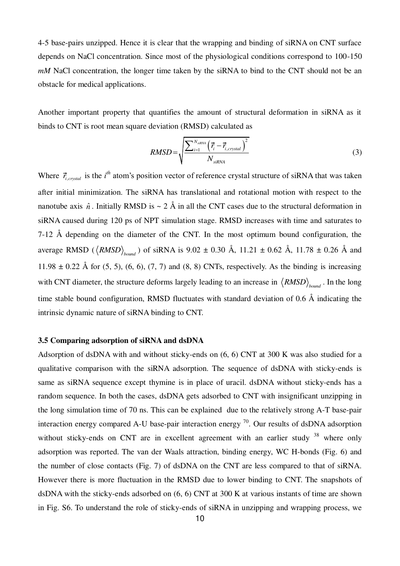4-5 base-pairs unzipped. Hence it is clear that the wrapping and binding of siRNA on CNT surface depends on NaCl concentration. Since most of the physiological conditions correspond to 100-150 *mM* NaCl concentration, the longer time taken by the siRNA to bind to the CNT should not be an obstacle for medical applications.

Another important property that quantifies the amount of structural deformation in siRNA as it binds to CNT is root mean square deviation (RMSD) calculated as

$$
RMSD = \sqrt{\frac{\sum_{i=1}^{N_{siRNA}} \left(\vec{r}_i - \vec{r}_{i,crystal}\right)^2}{N_{siRNA}}}
$$
(3)

Where  $\vec{r}_{i, crystal}$  is the *i*<sup>th</sup> atom's position vector of reference crystal structure of siRNA that was taken after initial minimization. The siRNA has translational and rotational motion with respect to the nanotube axis  $\hat{n}$ . Initially RMSD is  $\sim 2$  Å in all the CNT cases due to the structural deformation in siRNA caused during 120 ps of NPT simulation stage. RMSD increases with time and saturates to 7-12 Å depending on the diameter of the CNT. In the most optimum bound configuration, the average RMSD ( $\langle RMSD \rangle_{bound}$ ) of siRNA is 9.02  $\pm$  0.30 Å, 11.21  $\pm$  0.62 Å, 11.78  $\pm$  0.26 Å and 11.98  $\pm$  0.22 Å for (5, 5), (6, 6), (7, 7) and (8, 8) CNTs, respectively. As the binding is increasing with CNT diameter, the structure deforms largely leading to an increase in  $\langle RMSD \rangle_{bound}$ . In the long time stable bound configuration, RMSD fluctuates with standard deviation of 0.6 Å indicating the intrinsic dynamic nature of siRNA binding to CNT.

#### **3.5 Comparing adsorption of siRNA and dsDNA**

Adsorption of dsDNA with and without sticky-ends on (6, 6) CNT at 300 K was also studied for a qualitative comparison with the siRNA adsorption. The sequence of dsDNA with sticky-ends is same as siRNA sequence except thymine is in place of uracil. dsDNA without sticky-ends has a random sequence. In both the cases, dsDNA gets adsorbed to CNT with insignificant unzipping in the long simulation time of 70 ns. This can be explained due to the relatively strong A-T base-pair interaction energy compared A-U base-pair interaction energy  $^{70}$ . Our results of dsDNA adsorption without sticky-ends on CNT are in excellent agreement with an earlier study <sup>38</sup> where only adsorption was reported. The van der Waals attraction, binding energy, WC H-bonds (Fig. 6) and the number of close contacts (Fig. 7) of dsDNA on the CNT are less compared to that of siRNA. However there is more fluctuation in the RMSD due to lower binding to CNT. The snapshots of dsDNA with the sticky-ends adsorbed on (6, 6) CNT at 300 K at various instants of time are shown in Fig. S6. To understand the role of sticky-ends of siRNA in unzipping and wrapping process, we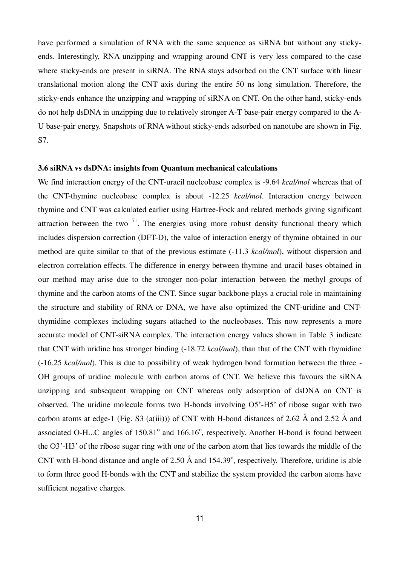have performed a simulation of RNA with the same sequence as siRNA but without any stickyends. Interestingly, RNA unzipping and wrapping around CNT is very less compared to the case where sticky-ends are present in siRNA. The RNA stays adsorbed on the CNT surface with linear translational motion along the CNT axis during the entire 50 ns long simulation. Therefore, the sticky-ends enhance the unzipping and wrapping of siRNA on CNT. On the other hand, sticky-ends do not help dsDNA in unzipping due to relatively stronger A-T base-pair energy compared to the A-U base-pair energy. Snapshots of RNA without sticky-ends adsorbed on nanotube are shown in Fig. S7.

## **3.6 siRNA vs dsDNA: insights from Quantum mechanical calculations**

We find interaction energy of the CNT-uracil nucleobase complex is -9.64 *kcal/mol* whereas that of the CNT-thymine nucleobase complex is about -12.25 *kcal/mol*. Interaction energy between thymine and CNT was calculated earlier using Hartree-Fock and related methods giving significant attraction between the two  $1$ . The energies using more robust density functional theory which includes dispersion correction (DFT-D), the value of interaction energy of thymine obtained in our method are quite similar to that of the previous estimate (-11.3 *kcal/mol*), without dispersion and electron correlation effects. The difference in energy between thymine and uracil bases obtained in our method may arise due to the stronger non-polar interaction between the methyl groups of thymine and the carbon atoms of the CNT. Since sugar backbone plays a crucial role in maintaining the structure and stability of RNA or DNA, we have also optimized the CNT-uridine and CNTthymidine complexes including sugars attached to the nucleobases. This now represents a more accurate model of CNT-siRNA complex. The interaction energy values shown in Table 3 indicate that CNT with uridine has stronger binding (-18.72 *kcal/mol*), than that of the CNT with thymidine (-16.25 *kcal/mol*). This is due to possibility of weak hydrogen bond formation between the three - OH groups of uridine molecule with carbon atoms of CNT. We believe this favours the siRNA unzipping and subsequent wrapping on CNT whereas only adsorption of dsDNA on CNT is observed. The uridine molecule forms two H-bonds involving O5'-H5' of ribose sugar with two carbon atoms at edge-1 (Fig. S3 (a(iii))) of CNT with H-bond distances of 2.62 Å and 2.52 Å and associated O-H...C angles of  $150.81^\circ$  and  $166.16^\circ$ , respectively. Another H-bond is found between the O3'-H3' of the ribose sugar ring with one of the carbon atom that lies towards the middle of the CNT with H-bond distance and angle of 2.50  $\AA$  and 154.39°, respectively. Therefore, uridine is able to form three good H-bonds with the CNT and stabilize the system provided the carbon atoms have sufficient negative charges.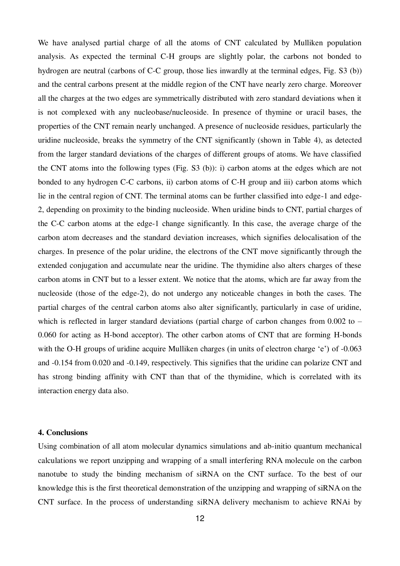We have analysed partial charge of all the atoms of CNT calculated by Mulliken population analysis. As expected the terminal C-H groups are slightly polar, the carbons not bonded to hydrogen are neutral (carbons of C-C group, those lies inwardly at the terminal edges, Fig. S3 (b)) and the central carbons present at the middle region of the CNT have nearly zero charge. Moreover all the charges at the two edges are symmetrically distributed with zero standard deviations when it is not complexed with any nucleobase/nucleoside. In presence of thymine or uracil bases, the properties of the CNT remain nearly unchanged. A presence of nucleoside residues, particularly the uridine nucleoside, breaks the symmetry of the CNT significantly (shown in Table 4), as detected from the larger standard deviations of the charges of different groups of atoms. We have classified the CNT atoms into the following types (Fig. S3 (b)): i) carbon atoms at the edges which are not bonded to any hydrogen C-C carbons, ii) carbon atoms of C-H group and iii) carbon atoms which lie in the central region of CNT. The terminal atoms can be further classified into edge-1 and edge-2, depending on proximity to the binding nucleoside. When uridine binds to CNT, partial charges of the C-C carbon atoms at the edge-1 change significantly. In this case, the average charge of the carbon atom decreases and the standard deviation increases, which signifies delocalisation of the charges. In presence of the polar uridine, the electrons of the CNT move significantly through the extended conjugation and accumulate near the uridine. The thymidine also alters charges of these carbon atoms in CNT but to a lesser extent. We notice that the atoms, which are far away from the nucleoside (those of the edge-2), do not undergo any noticeable changes in both the cases. The partial charges of the central carbon atoms also alter significantly, particularly in case of uridine, which is reflected in larger standard deviations (partial charge of carbon changes from  $0.002$  to – 0.060 for acting as H-bond acceptor). The other carbon atoms of CNT that are forming H-bonds with the O-H groups of uridine acquire Mulliken charges (in units of electron charge 'e') of -0.063 and -0.154 from 0.020 and -0.149, respectively. This signifies that the uridine can polarize CNT and has strong binding affinity with CNT than that of the thymidine, which is correlated with its interaction energy data also.

#### **4. Conclusions**

Using combination of all atom molecular dynamics simulations and ab-initio quantum mechanical calculations we report unzipping and wrapping of a small interfering RNA molecule on the carbon nanotube to study the binding mechanism of siRNA on the CNT surface. To the best of our knowledge this is the first theoretical demonstration of the unzipping and wrapping of siRNA on the CNT surface. In the process of understanding siRNA delivery mechanism to achieve RNAi by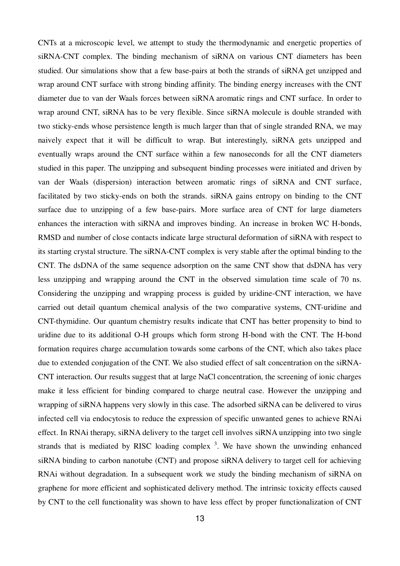CNTs at a microscopic level, we attempt to study the thermodynamic and energetic properties of siRNA-CNT complex. The binding mechanism of siRNA on various CNT diameters has been studied. Our simulations show that a few base-pairs at both the strands of siRNA get unzipped and wrap around CNT surface with strong binding affinity. The binding energy increases with the CNT diameter due to van der Waals forces between siRNA aromatic rings and CNT surface. In order to wrap around CNT, siRNA has to be very flexible. Since siRNA molecule is double stranded with two sticky-ends whose persistence length is much larger than that of single stranded RNA, we may naively expect that it will be difficult to wrap. But interestingly, siRNA gets unzipped and eventually wraps around the CNT surface within a few nanoseconds for all the CNT diameters studied in this paper. The unzipping and subsequent binding processes were initiated and driven by van der Waals (dispersion) interaction between aromatic rings of siRNA and CNT surface, facilitated by two sticky-ends on both the strands. siRNA gains entropy on binding to the CNT surface due to unzipping of a few base-pairs. More surface area of CNT for large diameters enhances the interaction with siRNA and improves binding. An increase in broken WC H-bonds, RMSD and number of close contacts indicate large structural deformation of siRNA with respect to its starting crystal structure. The siRNA-CNT complex is very stable after the optimal binding to the CNT. The dsDNA of the same sequence adsorption on the same CNT show that dsDNA has very less unzipping and wrapping around the CNT in the observed simulation time scale of 70 ns. Considering the unzipping and wrapping process is guided by uridine-CNT interaction, we have carried out detail quantum chemical analysis of the two comparative systems, CNT-uridine and CNT-thymidine. Our quantum chemistry results indicate that CNT has better propensity to bind to uridine due to its additional O-H groups which form strong H-bond with the CNT. The H-bond formation requires charge accumulation towards some carbons of the CNT, which also takes place due to extended conjugation of the CNT. We also studied effect of salt concentration on the siRNA-CNT interaction. Our results suggest that at large NaCl concentration, the screening of ionic charges make it less efficient for binding compared to charge neutral case. However the unzipping and wrapping of siRNA happens very slowly in this case. The adsorbed siRNA can be delivered to virus infected cell via endocytosis to reduce the expression of specific unwanted genes to achieve RNAi effect. In RNAi therapy, siRNA delivery to the target cell involves siRNA unzipping into two single strands that is mediated by RISC loading complex  $3$ . We have shown the unwinding enhanced siRNA binding to carbon nanotube (CNT) and propose siRNA delivery to target cell for achieving RNAi without degradation. In a subsequent work we study the binding mechanism of siRNA on graphene for more efficient and sophisticated delivery method. The intrinsic toxicity effects caused by CNT to the cell functionality was shown to have less effect by proper functionalization of CNT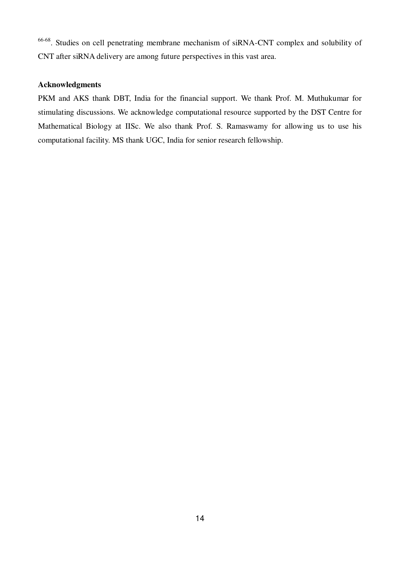66-68. Studies on cell penetrating membrane mechanism of siRNA-CNT complex and solubility of CNT after siRNA delivery are among future perspectives in this vast area.

## **Acknowledgments**

PKM and AKS thank DBT, India for the financial support. We thank Prof. M. Muthukumar for stimulating discussions. We acknowledge computational resource supported by the DST Centre for Mathematical Biology at IISc. We also thank Prof. S. Ramaswamy for allowing us to use his computational facility. MS thank UGC, India for senior research fellowship.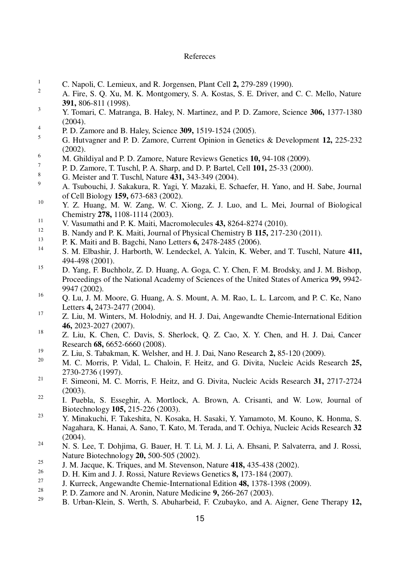## Refereces

- <sup>1</sup> C. Napoli, C. Lemieux, and R. Jorgensen, Plant Cell **2**, 279-289 (1990).
- <sup>2</sup>A. Fire, S. Q. Xu, M. K. Montgomery, S. A. Kostas, S. E. Driver, and C. C. Mello, Nature **391,** 806-811 (1998).
- <sup>3</sup>Y. Tomari, C. Matranga, B. Haley, N. Martinez, and P. D. Zamore, Science **306,** 1377-1380 (2004).
- <sup>4</sup><br>P. D. Zamore and B. Haley, Science **309,** 1519-1524 (2005).
- <sup>5</sup>G. Hutvagner and P. D. Zamore, Current Opinion in Genetics & Development **12,** 225-232 (2002).
- <sup>6</sup>M. Ghildiyal and P. D. Zamore, Nature Reviews Genetics **10,** 94-108 (2009).
- <sup>7</sup> P. D. Zamore, T. Tuschl, P. A. Sharp, and D. P. Bartel, Cell **101,** 25-33 (2000).
- <sup>8</sup> G. Meister and T. Tuschl, Nature **431**, 343-349 (2004).
- <sup>9</sup>A. Tsubouchi, J. Sakakura, R. Yagi, Y. Mazaki, E. Schaefer, H. Yano, and H. Sabe, Journal of Cell Biology **159,** 673-683 (2002).
- <sup>10</sup> Y. Z. Huang, M. W. Zang, W. C. Xiong, Z. J. Luo, and L. Mei, Journal of Biological Chemistry **278,** 1108-1114 (2003).
- <sup>11</sup> V. Vasumathi and P. K. Maiti, Macromolecules **43,** 8264-8274 (2010).
- <sup>12</sup> B. Nandy and P. K. Maiti, Journal of Physical Chemistry B **115,** 217-230 (2011).
- <sup>13</sup> P. K. Maiti and B. Bagchi, Nano Letters **6,** 2478-2485 (2006).
- <sup>14</sup> S. M. Elbashir, J. Harborth, W. Lendeckel, A. Yalcin, K. Weber, and T. Tuschl, Nature **411,** 494-498 (2001).
- <sup>15</sup> D. Yang, F. Buchholz, Z. D. Huang, A. Goga, C. Y. Chen, F. M. Brodsky, and J. M. Bishop, Proceedings of the National Academy of Sciences of the United States of America **99,** 9942- 9947 (2002).
- <sup>16</sup> Q. Lu, J. M. Moore, G. Huang, A. S. Mount, A. M. Rao, L. L. Larcom, and P. C. Ke, Nano Letters **4,** 2473-2477 (2004).
- <sup>17</sup> Z. Liu, M. Winters, M. Holodniy, and H. J. Dai, Angewandte Chemie-International Edition **46,** 2023-2027 (2007).
- <sup>18</sup> Z. Liu, K. Chen, C. Davis, S. Sherlock, O. Z. Cao, X. Y. Chen, and H. J. Dai, Cancer Research **68,** 6652-6660 (2008).
- <sup>19</sup> Z. Liu, S. Tabakman, K. Welsher, and H. J. Dai, Nano Research 2, 85-120 (2009).
- <sup>20</sup> M. C. Morris, P. Vidal, L. Chaloin, F. Heitz, and G. Divita, Nucleic Acids Research **25,** 2730-2736 (1997).
- <sup>21</sup> F. Simeoni, M. C. Morris, F. Heitz, and G. Divita, Nucleic Acids Research **31,** 2717-2724 (2003).
- <sup>22</sup> I. Puebla, S. Esseghir, A. Mortlock, A. Brown, A. Crisanti, and W. Low, Journal of Biotechnology **105,** 215-226 (2003).
- <sup>23</sup> Y. Minakuchi, F. Takeshita, N. Kosaka, H. Sasaki, Y. Yamamoto, M. Kouno, K. Honma, S. Nagahara, K. Hanai, A. Sano, T. Kato, M. Terada, and T. Ochiya, Nucleic Acids Research **32** (2004).
- <sup>24</sup> N. S. Lee, T. Dohjima, G. Bauer, H. T. Li, M. J. Li, A. Ehsani, P. Salvaterra, and J. Rossi, Nature Biotechnology **20,** 500-505 (2002).
- <sup>25</sup> J. M. Jacque, K. Triques, and M. Stevenson, Nature 418, 435-438 (2002).
- <sup>26</sup> D. H. Kim and J. J. Rossi, Nature Reviews Genetics **8,** 173-184 (2007).
- <sup>27</sup> J. Kurreck, Angewandte Chemie-International Edition **48,** 1378-1398 (2009).
- <sup>28</sup> P. D. Zamore and N. Aronin, Nature Medicine **9,** 266-267 (2003).
- <sup>29</sup> B. Urban-Klein, S. Werth, S. Abuharbeid, F. Czubayko, and A. Aigner, Gene Therapy **12,**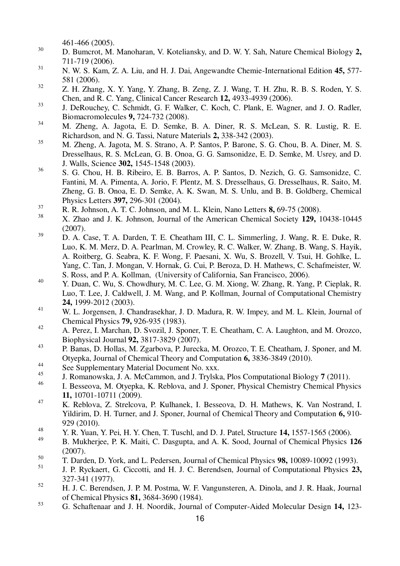461-466 (2005).

- <sup>30</sup> D. Bumcrot, M. Manoharan, V. Koteliansky, and D. W. Y. Sah, Nature Chemical Biology **2,** 711-719 (2006).
- <sup>31</sup> N. W. S. Kam, Z. A. Liu, and H. J. Dai, Angewandte Chemie-International Edition **45,** 577- 581 (2006).
- $\overline{32}$  Z. H. Zhang, X. Y. Yang, Y. Zhang, B. Zeng, Z. J. Wang, T. H. Zhu, R. B. S. Roden, Y. S. Chen, and R. C. Yang, Clinical Cancer Research **12,** 4933-4939 (2006).
- <sup>33</sup> J. DeRouchey, C. Schmidt, G. F. Walker, C. Koch, C. Plank, E. Wagner, and J. O. Radler, Biomacromolecules **9,** 724-732 (2008).
- <sup>34</sup> M. Zheng, A. Jagota, E. D. Semke, B. A. Diner, R. S. McLean, S. R. Lustig, R. E. Richardson, and N. G. Tassi, Nature Materials **2,** 338-342 (2003).
- <sup>35</sup> M. Zheng, A. Jagota, M. S. Strano, A. P. Santos, P. Barone, S. G. Chou, B. A. Diner, M. S. Dresselhaus, R. S. McLean, G. B. Onoa, G. G. Samsonidze, E. D. Semke, M. Usrey, and D. J. Walls, Science **302,** 1545-1548 (2003).
- <sup>36</sup> S. G. Chou, H. B. Ribeiro, E. B. Barros, A. P. Santos, D. Nezich, G. G. Samsonidze, C. Fantini, M. A. Pimenta, A. Jorio, F. Plentz, M. S. Dresselhaus, G. Dresselhaus, R. Saito, M. Zheng, G. B. Onoa, E. D. Semke, A. K. Swan, M. S. Unlu, and B. B. Goldberg, Chemical Physics Letters **397,** 296-301 (2004).
- <sup>37</sup> R. R. Johnson, A. T. C. Johnson, and M. L. Klein, Nano Letters **8**, 69-75 (2008).
- <sup>38</sup> X. Zhao and J. K. Johnson, Journal of the American Chemical Society **129,** 10438-10445 (2007).
- <sup>39</sup> D. A. Case, T. A. Darden, T. E. Cheatham III, C. L. Simmerling, J. Wang, R. E. Duke, R. Luo, K. M. Merz, D. A. Pearlman, M. Crowley, R. C. Walker, W. Zhang, B. Wang, S. Hayik, A. Roitberg, G. Seabra, K. F. Wong, F. Paesani, X. Wu, S. Brozell, V. Tsui, H. Gohlke, L. Yang, C. Tan, J. Mongan, V. Hornak, G. Cui, P. Beroza, D. H. Mathews, C. Schafmeister, W. S. Ross, and P. A. Kollman, (University of California, San Francisco, 2006).
- <sup>40</sup> Y. Duan, C. Wu, S. Chowdhury, M. C. Lee, G. M. Xiong, W. Zhang, R. Yang, P. Cieplak, R. Luo, T. Lee, J. Caldwell, J. M. Wang, and P. Kollman, Journal of Computational Chemistry **24,** 1999-2012 (2003).
- <sup>41</sup> W. L. Jorgensen, J. Chandrasekhar, J. D. Madura, R. W. Impey, and M. L. Klein, Journal of Chemical Physics **79,** 926-935 (1983).
- <sup>42</sup> A. Perez, I. Marchan, D. Svozil, J. Sponer, T. E. Cheatham, C. A. Laughton, and M. Orozco, Biophysical Journal **92,** 3817-3829 (2007).
- <sup>43</sup> P. Banas, D. Hollas, M. Zgarbova, P. Jurecka, M. Orozco, T. E. Cheatham, J. Sponer, and M. Otyepka, Journal of Chemical Theory and Computation **6,** 3836-3849 (2010).
- $\frac{44}{45}$  See Supplementary Material Document No. xxx.
- <sup>45</sup> J. Romanowska, J. A. McCammon, and J. Trylska, Plos Computational Biology **7** (2011).
- <sup>46</sup> I. Besseova, M. Otyepka, K. Reblova, and J. Sponer, Physical Chemistry Chemical Physics **11,** 10701-10711 (2009).
- <sup>47</sup> K. Reblova, Z. Strelcova, P. Kulhanek, I. Besseova, D. H. Mathews, K. Van Nostrand, I. Yildirim, D. H. Turner, and J. Sponer, Journal of Chemical Theory and Computation **6,** 910- 929 (2010).
- <sup>48</sup> Y. R. Yuan, Y. Pei, H. Y. Chen, T. Tuschl, and D. J. Patel, Structure 14, 1557-1565 (2006).
- <sup>49</sup> B. Mukherjee, P. K. Maiti, C. Dasgupta, and A. K. Sood, Journal of Chemical Physics **126** (2007).
- <sup>50</sup> T. Darden, D. York, and L. Pedersen, Journal of Chemical Physics **98,** 10089-10092 (1993).
- <sup>51</sup> J. P. Ryckaert, G. Ciccotti, and H. J. C. Berendsen, Journal of Computational Physics **23,** 327-341 (1977).
- <sup>52</sup> H. J. C. Berendsen, J. P. M. Postma, W. F. Vangunsteren, A. Dinola, and J. R. Haak, Journal of Chemical Physics **81,** 3684-3690 (1984).
- <sup>53</sup> G. Schaftenaar and J. H. Noordik, Journal of Computer-Aided Molecular Design **14,** 123-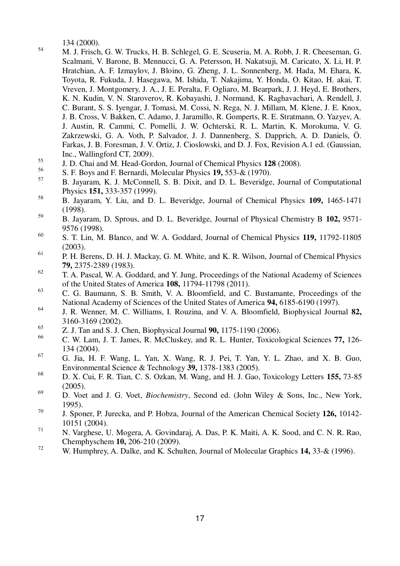134 (2000).

- <sup>54</sup> M. J. Frisch, G. W. Trucks, H. B. Schlegel, G. E. Scuseria, M. A. Robb, J. R. Cheeseman, G. Scalmani, V. Barone, B. Mennucci, G. A. Petersson, H. Nakatsuji, M. Caricato, X. Li, H. P. Hratchian, A. F. Izmaylov, J. Bloino, G. Zheng, J. L. Sonnenberg, M. Hada, M. Ehara, K. Toyota, R. Fukuda, J. Hasegawa, M. Ishida, T. Nakajima, Y. Honda, O. Kitao, H. akai, T. Vreven, J. Montgomery, J. A., J. E. Peralta, F. Ogliaro, M. Bearpark, J. J. Heyd, E. Brothers, K. N. Kudin, V. N. Staroverov, R. Kobayashi, J. Normand, K. Raghavachari, A. Rendell, J. C. Burant, S. S. Iyengar, J. Tomasi, M. Cossi, N. Rega, N. J. Millam, M. Klene, J. E. Knox, J. B. Cross, V. Bakken, C. Adamo, J. Jaramillo, R. Gomperts, R. E. Stratmann, O. Yazyev, A. J. Austin, R. Cammi, C. Pomelli, J. W. Ochterski, R. L. Martin, K. Morokuma, V. G. Zakrzewski, G. A. Voth, P. Salvador, J. J. Dannenberg, S. Dapprich, A. D. Daniels, Ö. Farkas, J. B. Foresman, J. V. Ortiz, J. Cioslowski, and D. J. Fox, Revision A.1 ed. (Gaussian, Inc., Wallingford CT, 2009).
- 55 J. D. Chai and M. Head-Gordon, Journal of Chemical Physics  $128$  (2008).
- <sup>56</sup> S. F. Boys and F. Bernardi, Molecular Physics **19,** 553-& (1970).
- <sup>57</sup> B. Jayaram, K. J. McConnell, S. B. Dixit, and D. L. Beveridge, Journal of Computational Physics **151,** 333-357 (1999).
- <sup>58</sup> B. Jayaram, Y. Liu, and D. L. Beveridge, Journal of Chemical Physics **109,** 1465-1471 (1998).
- <sup>59</sup> B. Jayaram, D. Sprous, and D. L. Beveridge, Journal of Physical Chemistry B **102,** 9571- 9576 (1998).
- <sup>60</sup> S. T. Lin, M. Blanco, and W. A. Goddard, Journal of Chemical Physics **119,** 11792-11805  $(2003)$ .
- $\overline{P}$ . H. Berens, D. H. J. Mackay, G. M. White, and K. R. Wilson, Journal of Chemical Physics **79,** 2375-2389 (1983).
- $62$  T. A. Pascal, W. A. Goddard, and Y. Jung, Proceedings of the National Academy of Sciences of the United States of America **108,** 11794-11798 (2011).
- <sup>63</sup> C. G. Baumann, S. B. Smith, V. A. Bloomfield, and C. Bustamante, Proceedings of the National Academy of Sciences of the United States of America **94,** 6185-6190 (1997).
- <sup>64</sup> J. R. Wenner, M. C. Williams, I. Rouzina, and V. A. Bloomfield, Biophysical Journal **82,** 3160-3169 (2002).
- <sup>65</sup> Z. J. Tan and S. J. Chen, Biophysical Journal **90,** 1175-1190 (2006).
- <sup>66</sup> C. W. Lam, J. T. James, R. McCluskey, and R. L. Hunter, Toxicological Sciences **77,** 126- 134 (2004).
- <sup>67</sup> G. Jia, H. F. Wang, L. Yan, X. Wang, R. J. Pei, T. Yan, Y. L. Zhao, and X. B. Guo, Environmental Science & Technology **39,** 1378-1383 (2005).
- <sup>68</sup> D. X. Cui, F. R. Tian, C. S. Ozkan, M. Wang, and H. J. Gao, Toxicology Letters **155,** 73-85 (2005).
- <sup>69</sup> D. Voet and J. G. Voet, *Biochemistry*, Second ed. (John Wiley & Sons, Inc., New York, 1995).
- <sup>70</sup> J. Sponer, P. Jurecka, and P. Hobza, Journal of the American Chemical Society **126,** 10142- 10151 (2004).
- <sup>71</sup> N. Varghese, U. Mogera, A. Govindaraj, A. Das, P. K. Maiti, A. K. Sood, and C. N. R. Rao, Chemphyschem **10,** 206-210 (2009).
- <sup>72</sup> W. Humphrey, A. Dalke, and K. Schulten, Journal of Molecular Graphics **14,** 33-& (1996).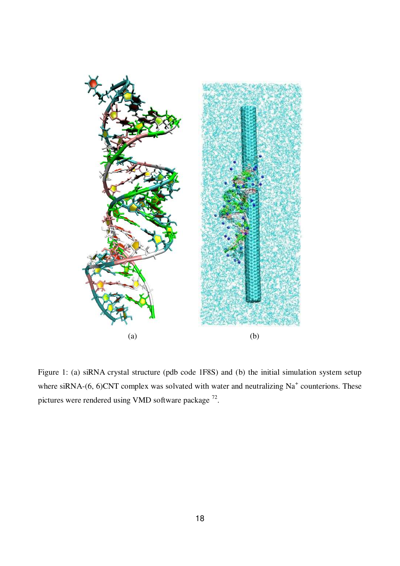

Figure 1: (a) siRNA crystal structure (pdb code 1F8S) and (b) the initial simulation system setup where  $siRNA-(6, 6)$ CNT complex was solvated with water and neutralizing Na<sup>+</sup> counterions. These pictures were rendered using VMD software package  $^{72}$ .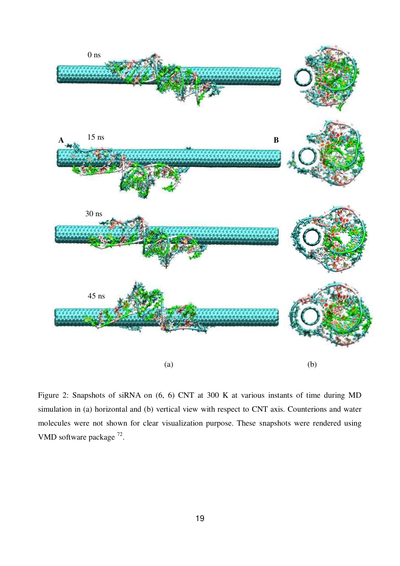

Figure 2: Snapshots of siRNA on (6, 6) CNT at 300 K at various instants of time during MD simulation in (a) horizontal and (b) vertical view with respect to CNT axis. Counterions and water molecules were not shown for clear visualization purpose. These snapshots were rendered using VMD software package<sup>72</sup>.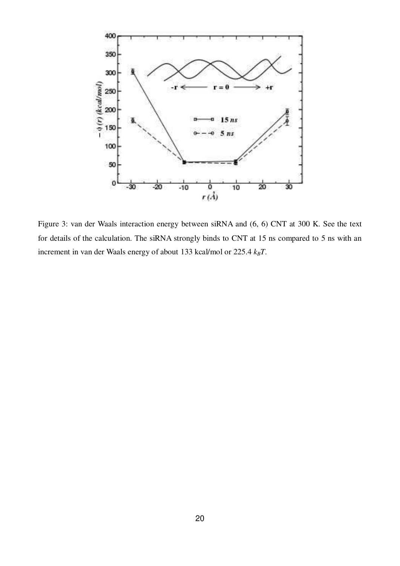

Figure 3: van der Waals interaction energy between siRNA and (6, 6) CNT at 300 K. See the text for details of the calculation. The siRNA strongly binds to CNT at 15 ns compared to 5 ns with an increment in van der Waals energy of about 133 kcal/mol or 225.4 *kBT*.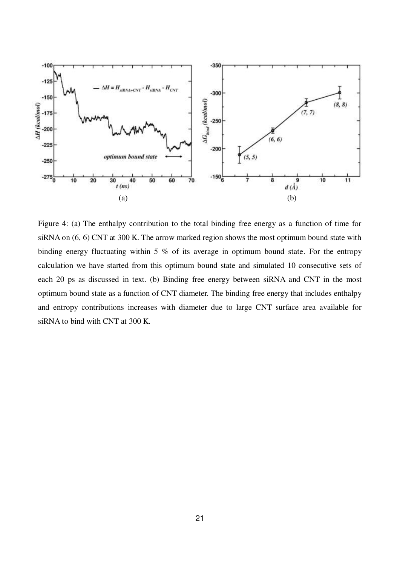

Figure 4: (a) The enthalpy contribution to the total binding free energy as a function of time for siRNA on (6, 6) CNT at 300 K. The arrow marked region shows the most optimum bound state with binding energy fluctuating within 5 % of its average in optimum bound state. For the entropy calculation we have started from this optimum bound state and simulated 10 consecutive sets of each 20 ps as discussed in text. (b) Binding free energy between siRNA and CNT in the most optimum bound state as a function of CNT diameter. The binding free energy that includes enthalpy and entropy contributions increases with diameter due to large CNT surface area available for siRNA to bind with CNT at 300 K.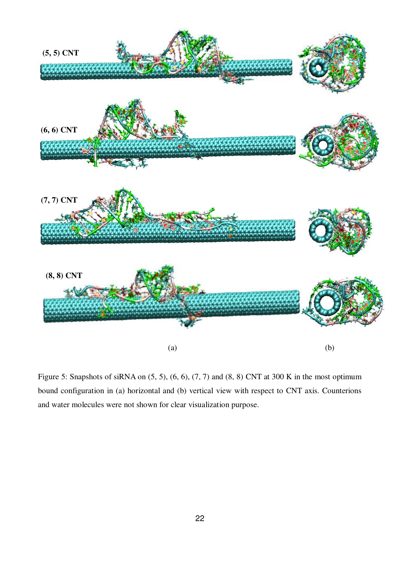

Figure 5: Snapshots of siRNA on  $(5, 5)$ ,  $(6, 6)$ ,  $(7, 7)$  and  $(8, 8)$  CNT at 300 K in the most optimum bound configuration in (a) horizontal and (b) vertical view with respect to CNT axis. Counterions and water molecules were not shown for clear visualization purpose.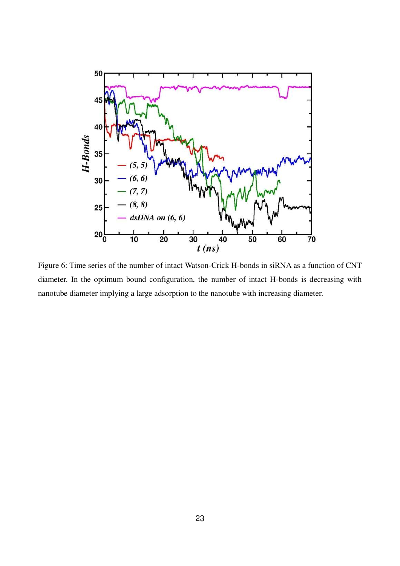

Figure 6: Time series of the number of intact Watson-Crick H-bonds in siRNA as a function of CNT diameter. In the optimum bound configuration, the number of intact H-bonds is decreasing with nanotube diameter implying a large adsorption to the nanotube with increasing diameter.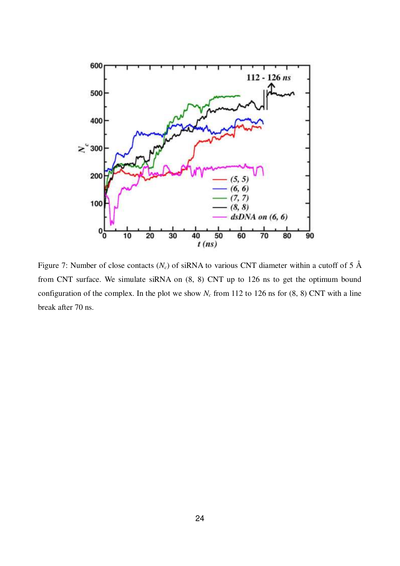

Figure 7: Number of close contacts (*Nc*) of siRNA to various CNT diameter within a cutoff of 5 Å from CNT surface. We simulate siRNA on (8, 8) CNT up to 126 ns to get the optimum bound configuration of the complex. In the plot we show  $N_c$  from 112 to 126 ns for (8, 8) CNT with a line break after 70 ns.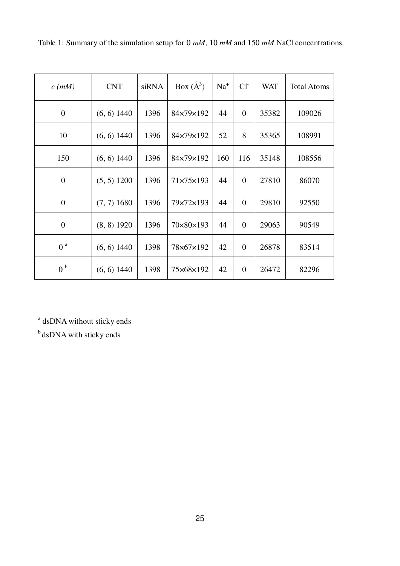| $c$ ( <i>mM</i> ) | <b>CNT</b>    | siRNA | Box $(\AA^3)$ | $Na+$ | C <sub>I</sub>   | <b>WAT</b> | <b>Total Atoms</b> |  |
|-------------------|---------------|-------|---------------|-------|------------------|------------|--------------------|--|
| $\overline{0}$    | $(6, 6)$ 1440 | 1396  | 84×79×192     | 44    | $\overline{0}$   | 35382      | 109026             |  |
| 10                | $(6, 6)$ 1440 | 1396  | 84×79×192     | 52    | 8                | 35365      | 108991             |  |
| 150               | $(6, 6)$ 1440 | 1396  | 84×79×192     | 160   | 116              | 35148      | 108556             |  |
| $\overline{0}$    | $(5, 5)$ 1200 | 1396  | 71×75×193     | 44    | $\overline{0}$   | 27810      | 86070              |  |
| $\mathbf{0}$      | $(7, 7)$ 1680 | 1396  | 79×72×193     | 44    | $\overline{0}$   | 29810      | 92550              |  |
| $\boldsymbol{0}$  | $(8, 8)$ 1920 | 1396  | 70×80×193     | 44    | $\overline{0}$   | 29063      | 90549              |  |
| 0 <sup>a</sup>    | $(6, 6)$ 1440 | 1398  | 78×67×192     | 42    | $\overline{0}$   | 26878      | 83514              |  |
| 0 <sup>b</sup>    | $(6, 6)$ 1440 | 1398  | 75×68×192     | 42    | $\boldsymbol{0}$ | 26472      | 82296              |  |

Table 1: Summary of the simulation setup for 0 *mM*, 10 *mM* and 150 *mM* NaCl concentrations.

<sup>a</sup> dsDNA without sticky ends

b dsDNA with sticky ends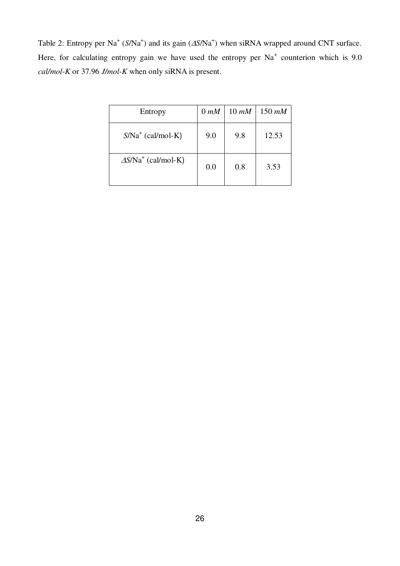Table 2: Entropy per Na<sup>+</sup> ( $S/Na^+$ ) and its gain ( $\Delta S/Na^+$ ) when siRNA wrapped around CNT surface. Here, for calculating entropy gain we have used the entropy per  $Na<sup>+</sup>$  counterion which is 9.0 *cal/mol-K* or 37.96 *J/mol-K* when only siRNA is present.

| Entropy                     | $0 \, mM$ | $10 \; mM$ | 150 $mM$ |
|-----------------------------|-----------|------------|----------|
| $S/Na^+$ (cal/mol-K)        | 9.0       | 9.8        | 12.53    |
| $\Delta S/Na^+$ (cal/mol-K) | 0.0       | 0.8        | 3.53     |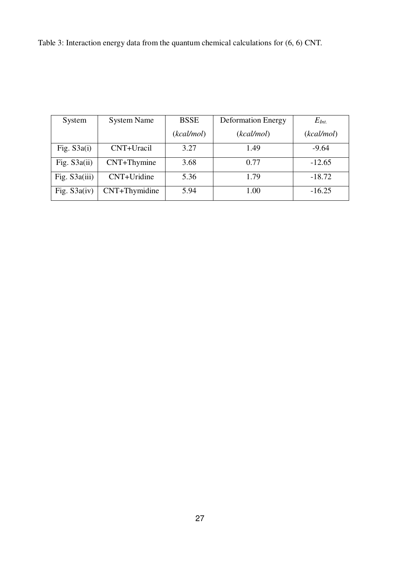Table 3: Interaction energy data from the quantum chemical calculations for (6, 6) CNT.

| System          | <b>System Name</b> | <b>BSSE</b> | <b>Deformation Energy</b> | $E_{Int.}$ |  |
|-----------------|--------------------|-------------|---------------------------|------------|--|
|                 |                    | (kcal/mol)  | (kcal/mol)                | (kcal/mol) |  |
| Fig. $S3a(i)$   | CNT+Uracil         | 3.27        | 1.49                      | $-9.64$    |  |
| Fig. $S3a(ii)$  | CNT+Thymine        | 3.68        | 0.77                      | $-12.65$   |  |
| Fig. $S3a(iii)$ | CNT+Uridine        | 5.36        | 1.79                      | $-18.72$   |  |
| Fig. $S3a(iv)$  | CNT+Thymidine      | 5.94        | 1.00                      | $-16.25$   |  |